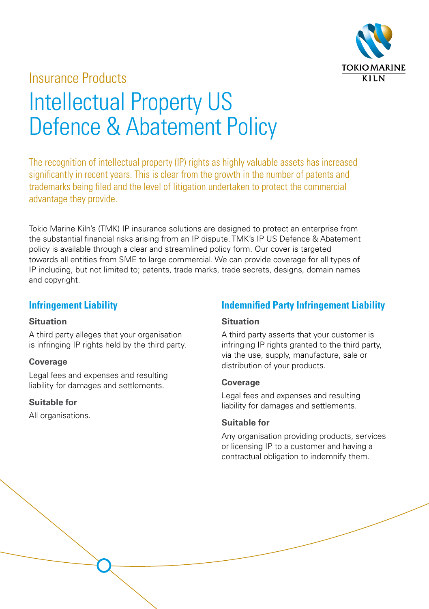

# Insurance Products Intellectual Property US Defence & Abatement Policy

The recognition of intellectual property (IP) rights as highly valuable assets has increased significantly in recent years. This is clear from the growth in the number of patents and trademarks being filed and the level of litigation undertaken to protect the commercial advantage they provide.

Tokio Marine Kiln's (TMK) IP insurance solutions are designed to protect an enterprise from the substantial financial risks arising from an IP dispute. TMK's IP US Defence & Abatement policy is available through a clear and streamlined policy form. Our cover is targeted towards all entities from SME to large commercial. We can provide coverage for all types of IP including, but not limited to; patents, trade marks, trade secrets, designs, domain names and copyright.

# **Infringement Liability**

#### **Situation**

A third party alleges that your organisation is infringing IP rights held by the third party.

# **Coverage**

Legal fees and expenses and resulting liability for damages and settlements.

# **Suitable for**

All organisations.

# **Indemnified Party Infringement Liability**

# **Situation**

A third party asserts that your customer is infringing IP rights granted to the third party via the use, supply, manufacture, sale or distribution of your products.

# **Coverage**

Legal fees and expenses and resulting liability for damages and settlements.

# **Suitable for**

Any organisation providing products, services or licensing IP to a customer and having a contractual obligation to indemnify them.